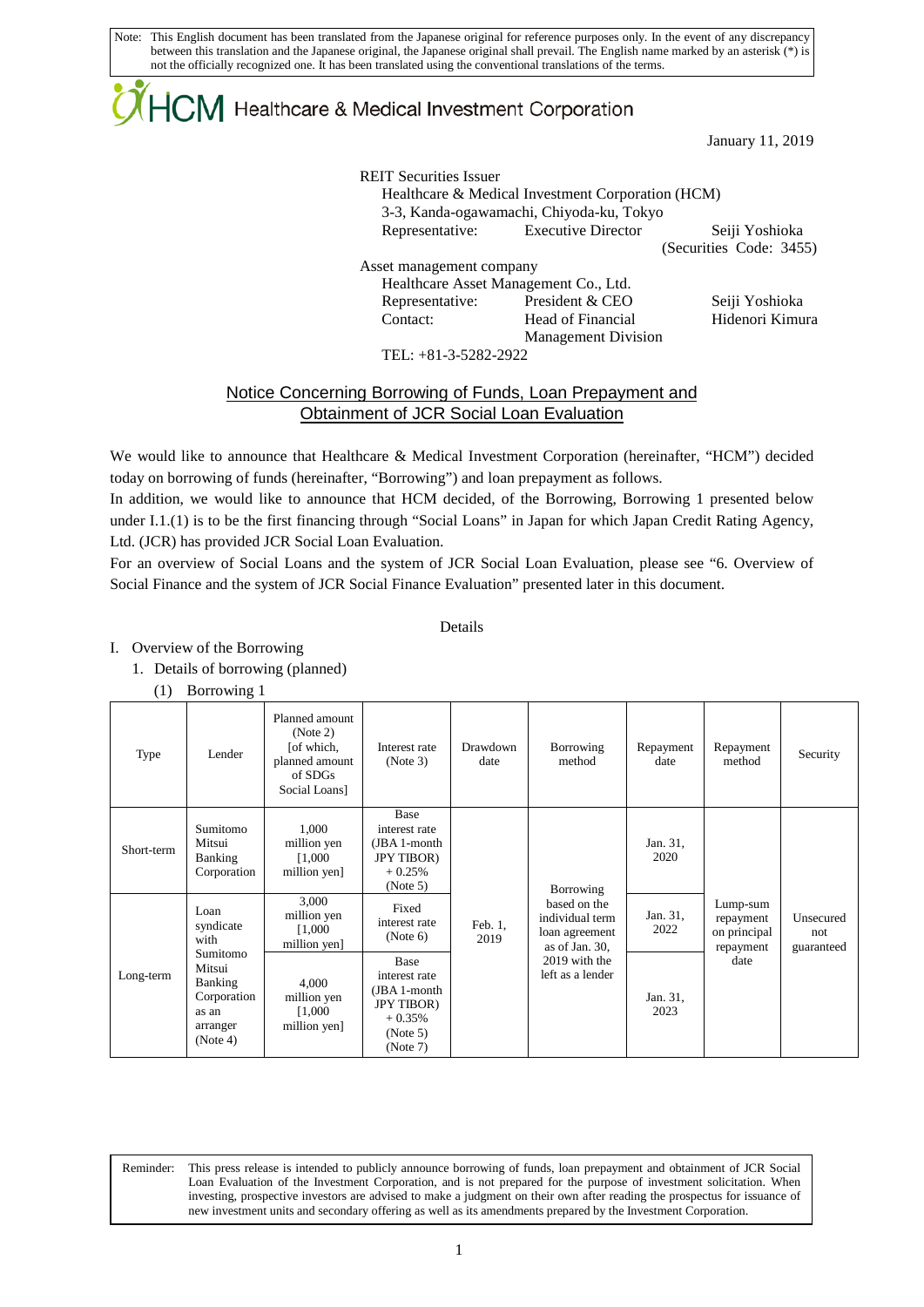# $\mathsf{ICM}\xspace$  Healthcare & Medical Investment Corporation

January 11, 2019

REIT Securities Issuer Healthcare & Medical Investment Corporation (HCM) 3-3, Kanda-ogawamachi, Chiyoda-ku, Tokyo Representative: Executive Director Seiji Yoshioka (Securities Code: 3455) Asset management company Healthcare Asset Management Co., Ltd. Representative: President & CEO Seiji Yoshioka Contact: Head of Financial Management Division Hidenori Kimura

TEL: +81-3-5282-2922

### Notice Concerning Borrowing of Funds, Loan Prepayment and Obtainment of JCR Social Loan Evaluation

We would like to announce that Healthcare & Medical Investment Corporation (hereinafter, "HCM") decided today on borrowing of funds (hereinafter, "Borrowing") and loan prepayment as follows.

In addition, we would like to announce that HCM decided, of the Borrowing, Borrowing 1 presented below under I.1.(1) is to be the first financing through "Social Loans" in Japan for which Japan Credit Rating Agency, Ltd. (JCR) has provided JCR Social Loan Evaluation.

For an overview of Social Loans and the system of JCR Social Loan Evaluation, please see "6. Overview of Social Finance and the system of JCR Social Finance Evaluation" presented later in this document.

### Details

#### I. Overview of the Borrowing

- 1. Details of borrowing (planned)
	- (1) Borrowing 1

L

| Type       | Lender                                                                                                     | Planned amount<br>(Note 2)<br>[of which,<br>planned amount<br>of SDGs<br>Social Loans | Interest rate<br>(Note 3)                                                                       | Drawdown<br>date | Borrowing<br>method                                                                                      | Repayment<br>date | Repayment<br>method                                        | Security                       |
|------------|------------------------------------------------------------------------------------------------------------|---------------------------------------------------------------------------------------|-------------------------------------------------------------------------------------------------|------------------|----------------------------------------------------------------------------------------------------------|-------------------|------------------------------------------------------------|--------------------------------|
| Short-term | Sumitomo<br>Mitsui<br>Banking<br>Corporation                                                               | 1,000<br>million yen<br>1,000<br>million yen]                                         | Base<br>interest rate<br>(JBA 1-month<br><b>JPY TIBOR</b> )<br>$+0.25%$<br>(Note 5)             |                  | Borrowing                                                                                                | Jan. 31,<br>2020  |                                                            |                                |
| Long-term  | Loan<br>syndicate<br>with<br>Sumitomo<br>Mitsui<br>Banking<br>Corporation<br>as an<br>arranger<br>(Note 4) | 3,000<br>million yen<br>[1,000]<br>million yen]                                       | Fixed<br>interest rate<br>(Note 6)                                                              | Feb. 1,<br>2019  | based on the<br>individual term<br>loan agreement<br>as of Jan. 30,<br>2019 with the<br>left as a lender | Jan. 31,<br>2022  | Lump-sum<br>repayment<br>on principal<br>repayment<br>date | Unsecured<br>not<br>guaranteed |
|            |                                                                                                            | 4,000<br>million yen<br>[1,000]<br>million yen]                                       | Base<br>interest rate<br>(JBA 1-month<br><b>JPY TIBOR</b> )<br>$+0.35%$<br>(Note 5)<br>(Note 7) |                  |                                                                                                          | Jan. 31,<br>2023  |                                                            |                                |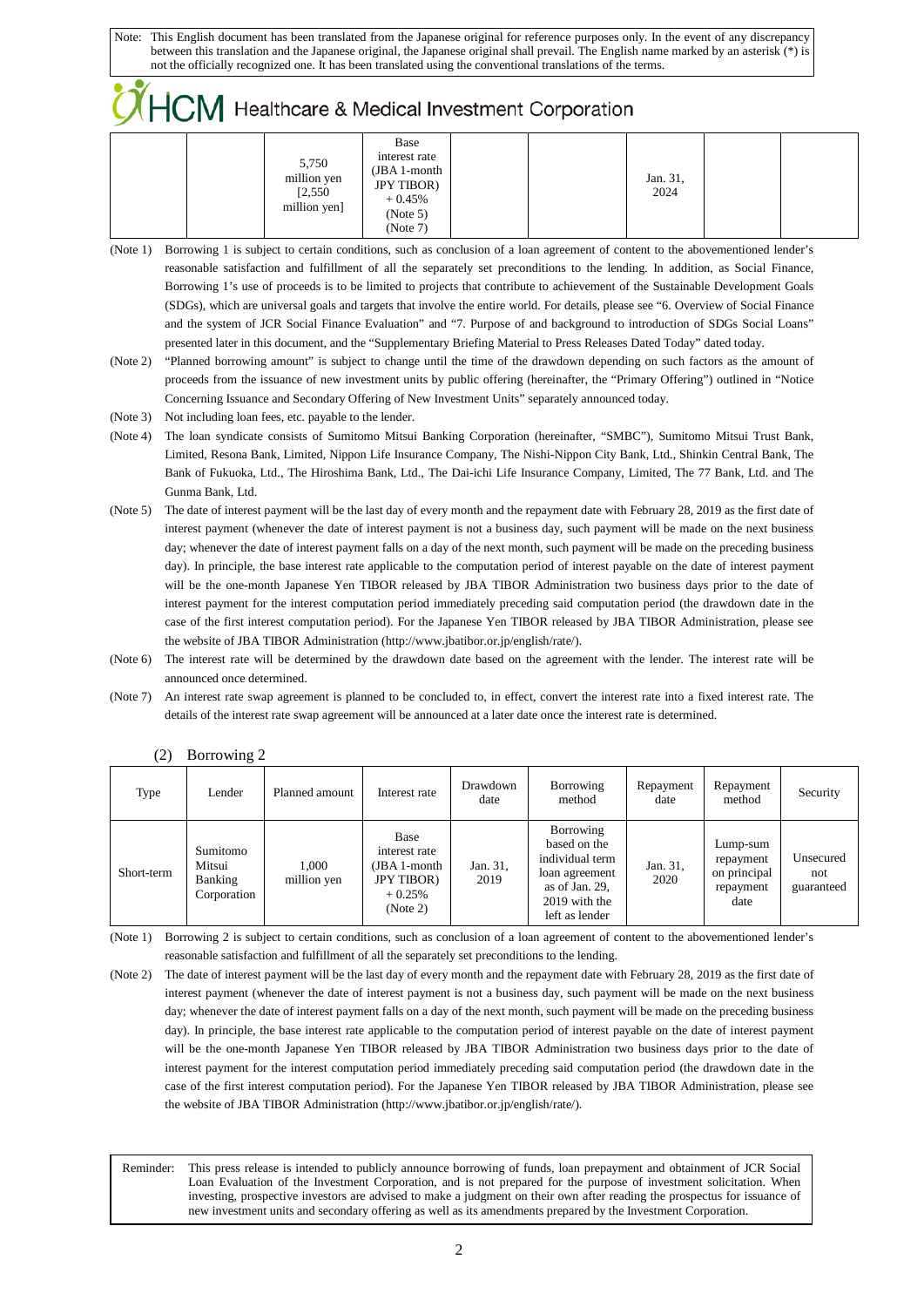## $\sqrt{H}$  Healthcare & Medical Investment Corporation

| 5,750<br>million yen<br>[2, 550]<br>million yen] | Base<br>interest rate<br>(JBA 1-month<br><b>JPY TIBOR</b> )<br>$+0.45%$<br>(Note 5) |  | Jan. 31,<br>2024 |  |
|--------------------------------------------------|-------------------------------------------------------------------------------------|--|------------------|--|
|                                                  | (Note 7)                                                                            |  |                  |  |

- (Note 1) Borrowing 1 is subject to certain conditions, such as conclusion of a loan agreement of content to the abovementioned lender's reasonable satisfaction and fulfillment of all the separately set preconditions to the lending. In addition, as Social Finance, Borrowing 1's use of proceeds is to be limited to projects that contribute to achievement of the Sustainable Development Goals (SDGs), which are universal goals and targets that involve the entire world. For details, please see "6. Overview of Social Finance and the system of JCR Social Finance Evaluation" and "7. Purpose of and background to introduction of SDGs Social Loans" presented later in this document, and the "Supplementary Briefing Material to Press Releases Dated Today" dated today.
- (Note 2) "Planned borrowing amount" is subject to change until the time of the drawdown depending on such factors as the amount of proceeds from the issuance of new investment units by public offering (hereinafter, the "Primary Offering") outlined in "Notice Concerning Issuance and Secondary Offering of New Investment Units" separately announced today.
- (Note 3) Not including loan fees, etc. payable to the lender.
- (Note 4) The loan syndicate consists of Sumitomo Mitsui Banking Corporation (hereinafter, "SMBC"), Sumitomo Mitsui Trust Bank, Limited, Resona Bank, Limited, Nippon Life Insurance Company, The Nishi-Nippon City Bank, Ltd., Shinkin Central Bank, The Bank of Fukuoka, Ltd., The Hiroshima Bank, Ltd., The Dai-ichi Life Insurance Company, Limited, The 77 Bank, Ltd. and The Gunma Bank, Ltd.
- (Note 5) The date of interest payment will be the last day of every month and the repayment date with February 28, 2019 as the first date of interest payment (whenever the date of interest payment is not a business day, such payment will be made on the next business day; whenever the date of interest payment falls on a day of the next month, such payment will be made on the preceding business day). In principle, the base interest rate applicable to the computation period of interest payable on the date of interest payment will be the one-month Japanese Yen TIBOR released by JBA TIBOR Administration two business days prior to the date of interest payment for the interest computation period immediately preceding said computation period (the drawdown date in the case of the first interest computation period). For the Japanese Yen TIBOR released by JBA TIBOR Administration, please see the website of JBA TIBOR Administration (http://www.jbatibor.or.jp/english/rate/).
- (Note 6) The interest rate will be determined by the drawdown date based on the agreement with the lender. The interest rate will be announced once determined.
- (Note 7) An interest rate swap agreement is planned to be concluded to, in effect, convert the interest rate into a fixed interest rate. The details of the interest rate swap agreement will be announced at a later date once the interest rate is determined.

| Type       | Lender                                       | Planned amount       | Interest rate                                                                       | Drawdown<br>date | Borrowing<br>method                                                                                                 | Repayment<br>date | Repayment<br>method                                        | Security                       |
|------------|----------------------------------------------|----------------------|-------------------------------------------------------------------------------------|------------------|---------------------------------------------------------------------------------------------------------------------|-------------------|------------------------------------------------------------|--------------------------------|
| Short-term | Sumitomo<br>Mitsui<br>Banking<br>Corporation | 1.000<br>million yen | Base<br>interest rate<br>(JBA 1-month<br><b>JPY TIBOR</b> )<br>$+0.25%$<br>(Note 2) | Jan. 31,<br>2019 | Borrowing<br>based on the<br>individual term<br>loan agreement<br>as of Jan. 29,<br>2019 with the<br>left as lender | Jan. 31,<br>2020  | Lump-sum<br>repayment<br>on principal<br>repayment<br>date | Unsecured<br>not<br>guaranteed |

(2) Borrowing 2

L

(Note 1) Borrowing 2 is subject to certain conditions, such as conclusion of a loan agreement of content to the abovementioned lender's reasonable satisfaction and fulfillment of all the separately set preconditions to the lending.

<sup>(</sup>Note 2) The date of interest payment will be the last day of every month and the repayment date with February 28, 2019 as the first date of interest payment (whenever the date of interest payment is not a business day, such payment will be made on the next business day; whenever the date of interest payment falls on a day of the next month, such payment will be made on the preceding business day). In principle, the base interest rate applicable to the computation period of interest payable on the date of interest payment will be the one-month Japanese Yen TIBOR released by JBA TIBOR Administration two business days prior to the date of interest payment for the interest computation period immediately preceding said computation period (the drawdown date in the case of the first interest computation period). For the Japanese Yen TIBOR released by JBA TIBOR Administration, please see the website of JBA TIBOR Administration (http://www.jbatibor.or.jp/english/rate/).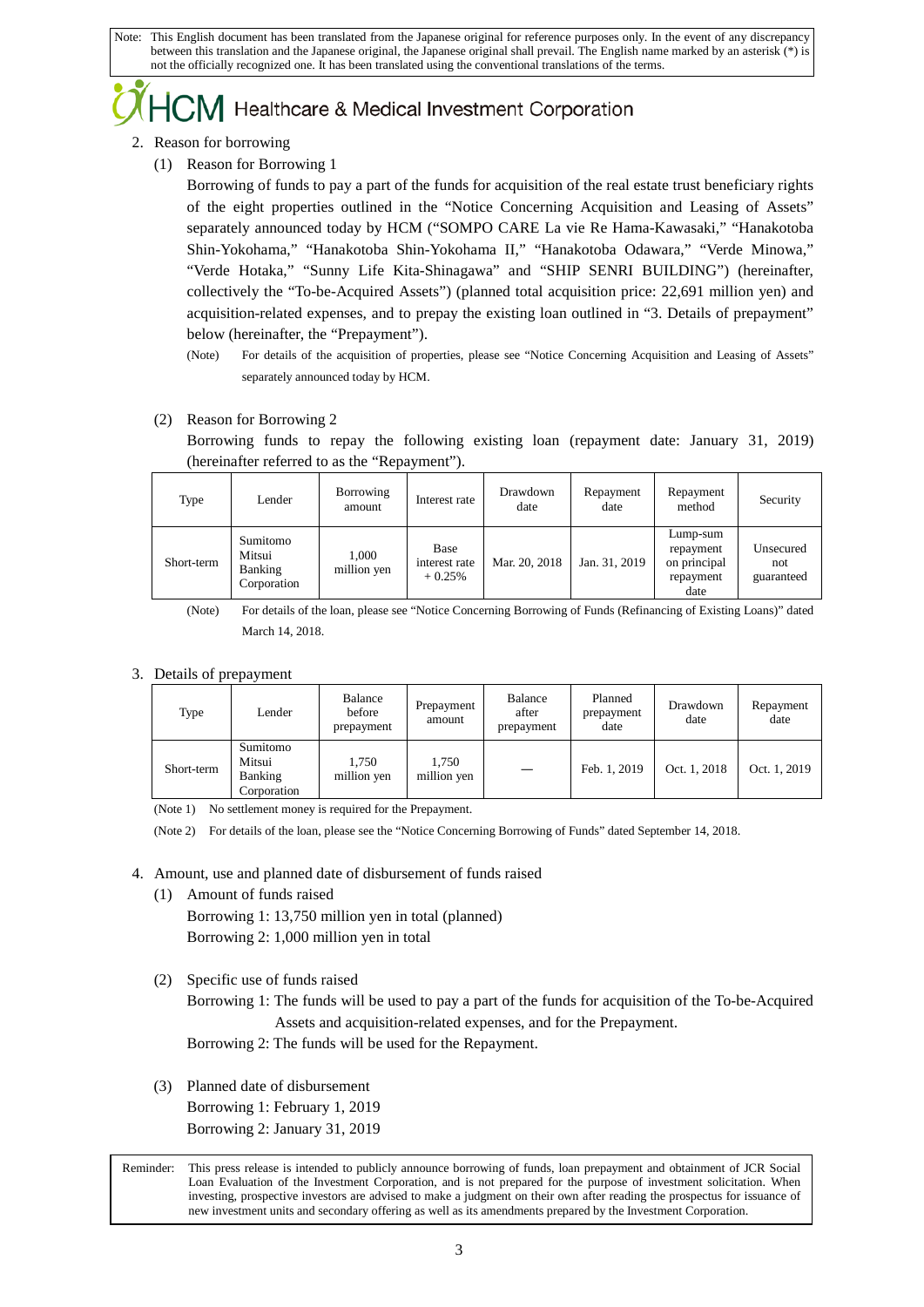## Healthcare & Medical Investment Corporation

- 2. Reason for borrowing
	- (1) Reason for Borrowing 1

Borrowing of funds to pay a part of the funds for acquisition of the real estate trust beneficiary rights of the eight properties outlined in the "Notice Concerning Acquisition and Leasing of Assets" separately announced today by HCM ("SOMPO CARE La vie Re Hama-Kawasaki," "Hanakotoba Shin-Yokohama," "Hanakotoba Shin-Yokohama II," "Hanakotoba Odawara," "Verde Minowa," "Verde Hotaka," "Sunny Life Kita-Shinagawa" and "SHIP SENRI BUILDING") (hereinafter, collectively the "To-be-Acquired Assets") (planned total acquisition price: 22,691 million yen) and acquisition-related expenses, and to prepay the existing loan outlined in "3. Details of prepayment" below (hereinafter, the "Prepayment").

- (Note) For details of the acquisition of properties, please see "Notice Concerning Acquisition and Leasing of Assets" separately announced today by HCM.
- (2) Reason for Borrowing 2

Borrowing funds to repay the following existing loan (repayment date: January 31, 2019) (hereinafter referred to as the "Repayment").

| Type       | Lender                                              | Borrowing<br>amount  | Interest rate                     | Drawdown<br>date | Repayment<br>date | Repayment<br>method                                        | Security                       |
|------------|-----------------------------------------------------|----------------------|-----------------------------------|------------------|-------------------|------------------------------------------------------------|--------------------------------|
| Short-term | Sumitomo<br>Mitsui<br><b>Banking</b><br>Corporation | 1,000<br>million yen | Base<br>interest rate<br>$+0.25%$ | Mar. 20, 2018    | Jan. 31, 2019     | Lump-sum<br>repayment<br>on principal<br>repayment<br>date | Unsecured<br>not<br>guaranteed |

(Note) For details of the loan, please see "Notice Concerning Borrowing of Funds (Refinancing of Existing Loans)" dated March 14, 2018.

3. Details of prepayment

| Type       | Lender                                       | Balance<br>before<br>prepayment | Prepayment<br>amount | Balance<br>after<br>prepayment | Planned<br>prepayment<br>date | Drawdown<br>date | Repayment<br>date |
|------------|----------------------------------------------|---------------------------------|----------------------|--------------------------------|-------------------------------|------------------|-------------------|
| Short-term | Sumitomo<br>Mitsui<br>Banking<br>Corporation | 1.750<br>million yen            | 1.750<br>million yen |                                | Feb. 1, 2019                  | Oct. 1, 2018     | Oct. 1, 2019      |

(Note 1) No settlement money is required for the Prepayment.

(Note 2) For details of the loan, please see the "Notice Concerning Borrowing of Funds" dated September 14, 2018.

- 4. Amount, use and planned date of disbursement of funds raised
	- (1) Amount of funds raised Borrowing 1: 13,750 million yen in total (planned) Borrowing 2: 1,000 million yen in total
	- (2) Specific use of funds raised

Borrowing 1: The funds will be used to pay a part of the funds for acquisition of the To-be-Acquired Assets and acquisition-related expenses, and for the Prepayment.

Borrowing 2: The funds will be used for the Repayment.

(3) Planned date of disbursement Borrowing 1: February 1, 2019 Borrowing 2: January 31, 2019

L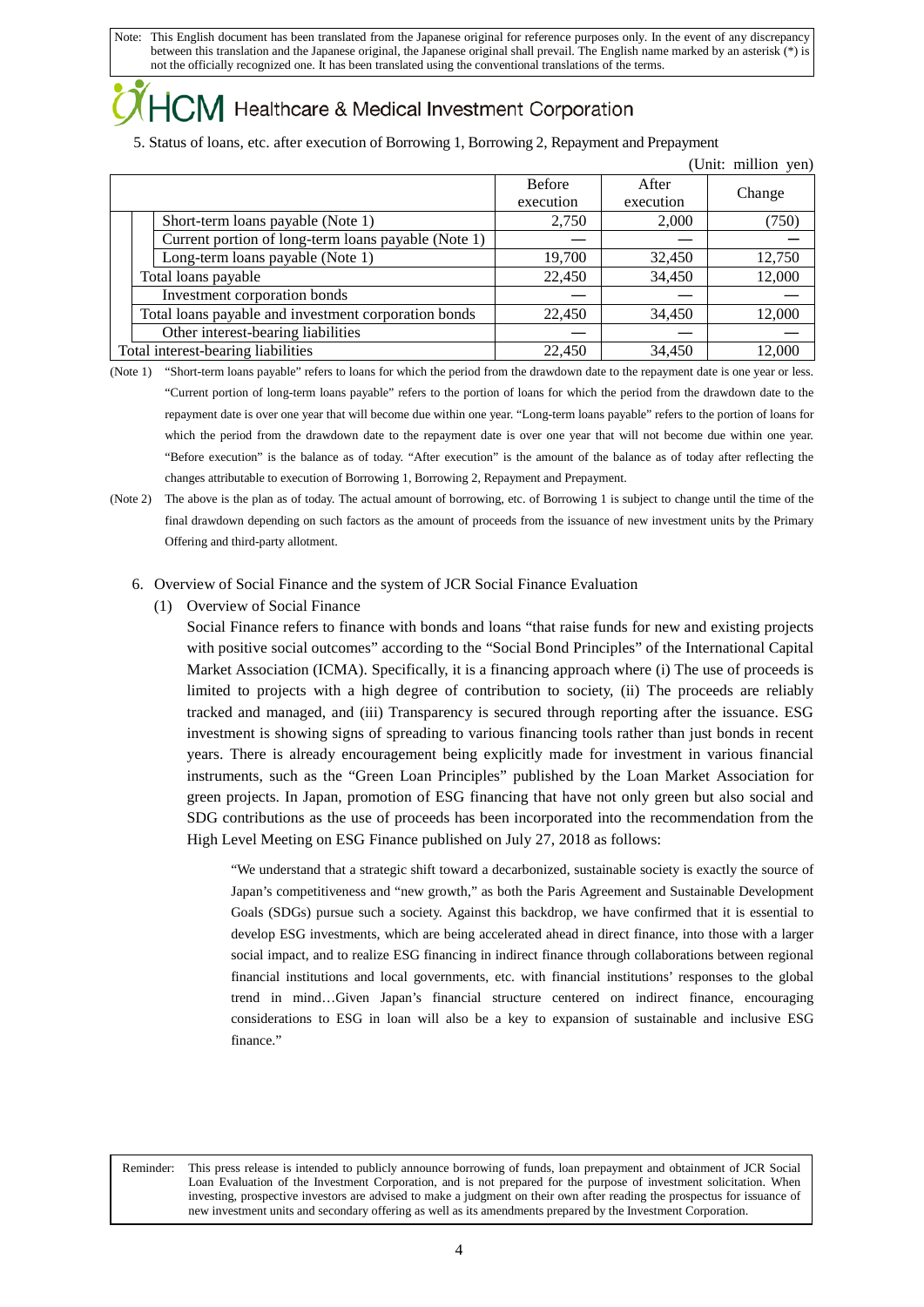## Healthcare & Medical Investment Corporation

5. Status of loans, etc. after execution of Borrowing 1, Borrowing 2, Repayment and Prepayment

|                                                      |               |           | (Unit: million yen) |
|------------------------------------------------------|---------------|-----------|---------------------|
|                                                      | <b>Before</b> | After     |                     |
|                                                      | execution     | execution | Change              |
| Short-term loans payable (Note 1)                    | 2,750         | 2,000     | (750)               |
| Current portion of long-term loans payable (Note 1)  |               |           |                     |
| Long-term loans payable (Note 1)                     | 19,700        | 32,450    | 12,750              |
| Total loans payable                                  | 22,450        | 34,450    | 12,000              |
| Investment corporation bonds                         |               |           |                     |
| Total loans payable and investment corporation bonds | 22,450        | 34,450    | 12,000              |
| Other interest-bearing liabilities                   |               |           |                     |
| Total interest-bearing liabilities                   | 22,450        | 34,450    | 12,000              |

(Note 1) "Short-term loans payable" refers to loans for which the period from the drawdown date to the repayment date is one year or less. "Current portion of long-term loans payable" refers to the portion of loans for which the period from the drawdown date to the repayment date is over one year that will become due within one year. "Long-term loans payable" refers to the portion of loans for which the period from the drawdown date to the repayment date is over one year that will not become due within one year. "Before execution" is the balance as of today. "After execution" is the amount of the balance as of today after reflecting the changes attributable to execution of Borrowing 1, Borrowing 2, Repayment and Prepayment.

- (Note 2) The above is the plan as of today. The actual amount of borrowing, etc. of Borrowing 1 is subject to change until the time of the final drawdown depending on such factors as the amount of proceeds from the issuance of new investment units by the Primary Offering and third-party allotment.
	- 6. Overview of Social Finance and the system of JCR Social Finance Evaluation
		- (1) Overview of Social Finance

L

Social Finance refers to finance with bonds and loans "that raise funds for new and existing projects with positive social outcomes" according to the "Social Bond Principles" of the International Capital Market Association (ICMA). Specifically, it is a financing approach where (i) The use of proceeds is limited to projects with a high degree of contribution to society, (ii) The proceeds are reliably tracked and managed, and (iii) Transparency is secured through reporting after the issuance. ESG investment is showing signs of spreading to various financing tools rather than just bonds in recent years. There is already encouragement being explicitly made for investment in various financial instruments, such as the "Green Loan Principles" published by the Loan Market Association for green projects. In Japan, promotion of ESG financing that have not only green but also social and SDG contributions as the use of proceeds has been incorporated into the recommendation from the High Level Meeting on ESG Finance published on July 27, 2018 as follows:

"We understand that a strategic shift toward a decarbonized, sustainable society is exactly the source of Japan's competitiveness and "new growth," as both the Paris Agreement and Sustainable Development Goals (SDGs) pursue such a society. Against this backdrop, we have confirmed that it is essential to develop ESG investments, which are being accelerated ahead in direct finance, into those with a larger social impact, and to realize ESG financing in indirect finance through collaborations between regional financial institutions and local governments, etc. with financial institutions' responses to the global trend in mind…Given Japan's financial structure centered on indirect finance, encouraging considerations to ESG in loan will also be a key to expansion of sustainable and inclusive ESG finance."